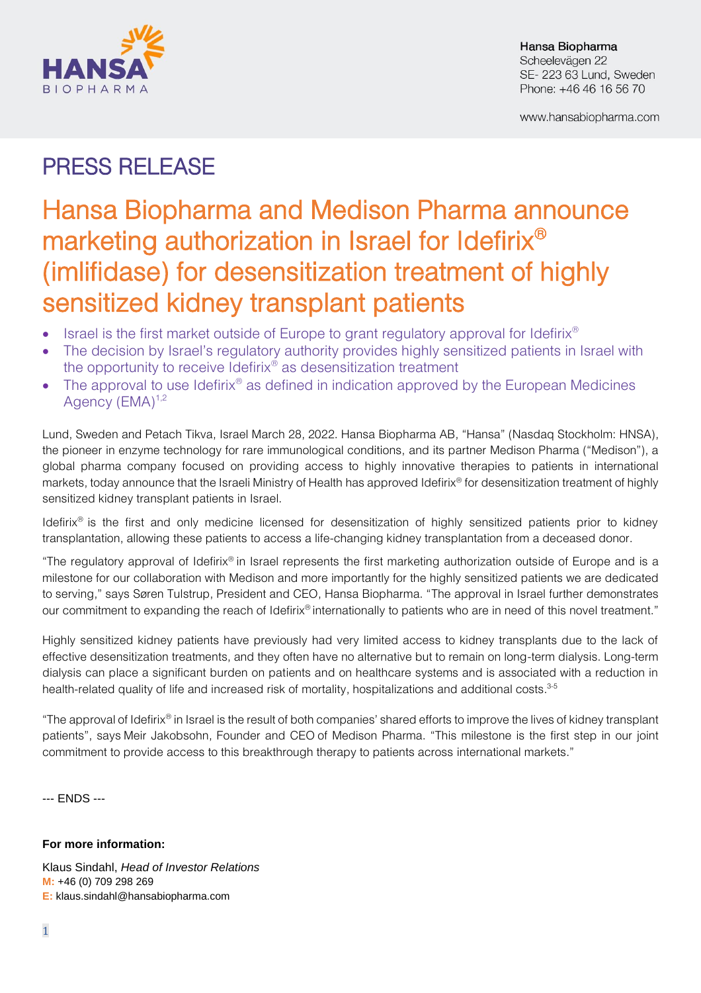

Hansa Biopharma Scheelevägen 22 SE-223 63 Lund, Sweden Phone: +46 46 16 56 70

www.hansabiopharma.com

## PRESS RELEASE

# Hansa Biopharma and Medison Pharma announce marketing authorization in Israel for Idefirix $^{\circledR}$ (imlifidase) for desensitization treatment of highly sensitized kidney transplant patients

- Israel is the first market outside of Europe to grant regulatory approval for Idefirix®
- The decision by Israel's regulatory authority provides highly sensitized patients in Israel with the opportunity to receive Idefirix® as desensitization treatment
- The approval to use Idefirix<sup>®</sup> as defined in indication approved by the European Medicines Agency (EMA)<sup>1,2</sup>

Lund, Sweden and Petach Tikva, Israel March 28, 2022. Hansa Biopharma AB, "Hansa" (Nasdaq Stockholm: HNSA), the pioneer in enzyme technology for rare immunological conditions, and its partner Medison Pharma ("Medison"), a global pharma company focused on providing access to highly innovative therapies to patients in international markets, today announce that the Israeli Ministry of Health has approved Idefirix® for desensitization treatment of highly sensitized kidney transplant patients in Israel.

Idefirix® is the first and only medicine licensed for desensitization of highly sensitized patients prior to kidney transplantation, allowing these patients to access a life-changing kidney transplantation from a deceased donor.

"The regulatory approval of Idefirix® in Israel represents the first marketing authorization outside of Europe and is a milestone for our collaboration with Medison and more importantly for the highly sensitized patients we are dedicated to serving," says Søren Tulstrup, President and CEO, Hansa Biopharma. "The approval in Israel further demonstrates our commitment to expanding the reach of Idefirix<sup>®</sup> internationally to patients who are in need of this novel treatment."

Highly sensitized kidney patients have previously had very limited access to kidney transplants due to the lack of effective desensitization treatments, and they often have no alternative but to remain on long-term dialysis. Long-term dialysis can place a significant burden on patients and on healthcare systems and is associated with a reduction in health-related quality of life and increased risk of mortality, hospitalizations and additional costs. 3-5

"The approval of Idefirix® in Israel is the result of both companies' shared efforts to improve the lives of kidney transplant patients", says Meir Jakobsohn, Founder and CEO of Medison Pharma. "This milestone is the first step in our joint commitment to provide access to this breakthrough therapy to patients across international markets."

--- ENDS ---

### **For more information:**

Klaus Sindahl, *Head of Investor Relations* **M:** +46 (0) 709 298 269 **E:** klaus.sindahl@hansabiopharma.com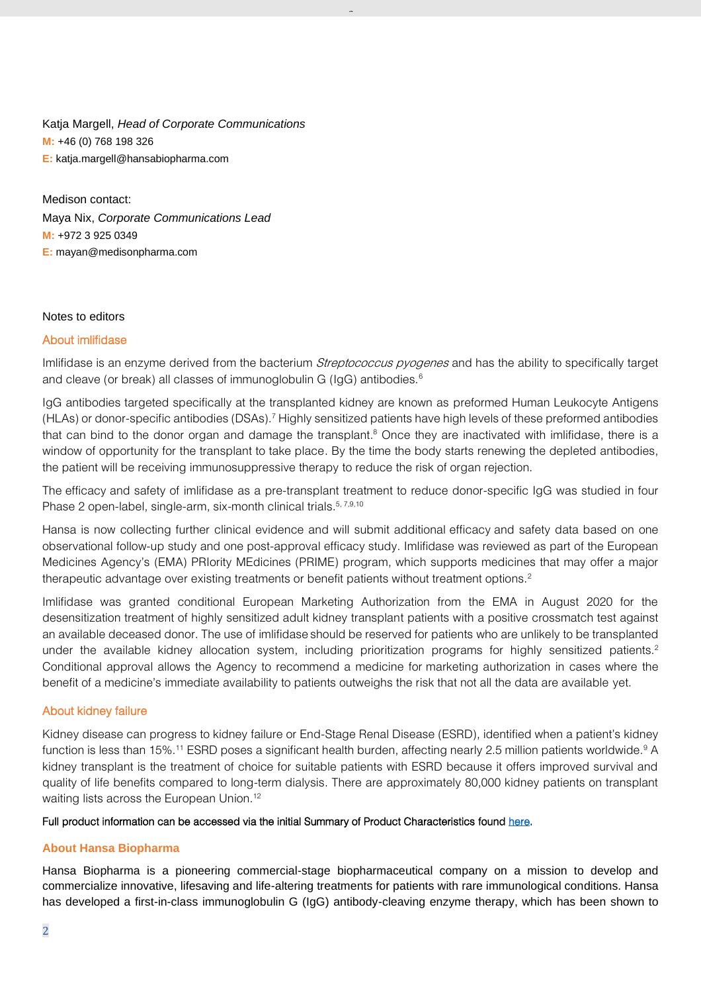Katja Margell, *Head of Corporate Communications* **M:** +46 (0) 768 198 326 **E:** katja.margell@hansabiopharma.com

Medison contact: Maya Nix, *Corporate Communications Lead* **M:** +972 3 925 0349 **E:** [mayan@medisonpharma.com](mailto:mayan@medisonpharma.com)

#### Notes to editors

#### About imlifidase

Imlifidase is an enzyme derived from the bacterium *Streptococcus pyogenes* and has the ability to specifically target and cleave (or break) all classes of immunoglobulin G (IgG) antibodies.<sup>6</sup>

 $\overline{a}$ 

IgG antibodies targeted specifically at the transplanted kidney are known as preformed Human Leukocyte Antigens (HLAs) or donor-specific antibodies (DSAs).<sup>7</sup> Highly sensitized patients have high levels of these preformed antibodies that can bind to the donor organ and damage the transplant. <sup>8</sup> Once they are inactivated with imlifidase, there is a window of opportunity for the transplant to take place. By the time the body starts renewing the depleted antibodies, the patient will be receiving immunosuppressive therapy to reduce the risk of organ rejection.

The efficacy and safety of imlifidase as a pre-transplant treatment to reduce donor-specific IgG was studied in four Phase 2 open-label, single-arm, six-month clinical trials.<sup>5, 7,9,10</sup>

Hansa is now collecting further clinical evidence and will submit additional efficacy and safety data based on one observational follow-up study and one post-approval efficacy study. Imlifidase was reviewed as part of the European Medicines Agency's (EMA) PRIority MEdicines (PRIME) program, which supports medicines that may offer a major therapeutic advantage over existing treatments or benefit patients without treatment options.<sup>2</sup>

Imlifidase was granted conditional European Marketing Authorization from the EMA in August 2020 for the desensitization treatment of highly sensitized adult kidney transplant patients with a positive crossmatch test against an available deceased donor. The use of imlifidase should be reserved for patients who are unlikely to be transplanted under the available kidney allocation system, including prioritization programs for highly sensitized patients.<sup>2</sup> Conditional approval allows the Agency to recommend a medicine for marketing authorization in cases where the benefit of a medicine's immediate availability to patients outweighs the risk that not all the data are available yet.

#### About kidney failure

Kidney disease can progress to kidney failure or End-Stage Renal Disease (ESRD), identified when a patient's kidney function is less than 15%.<sup>11</sup> ESRD poses a significant health burden, affecting nearly 2.5 million patients worldwide.<sup>9</sup> A kidney transplant is the treatment of choice for suitable patients with ESRD because it offers improved survival and quality of life benefits compared to long-term dialysis. There are approximately 80,000 kidney patients on transplant waiting lists across the European Union.<sup>12</sup>

#### Full product information can be accessed via the initial Summary of Product Characteristics foun[d here.](https://www.hansabiopharma.com/mediatoolkit/)

#### **About Hansa Biopharma**

Hansa Biopharma is a pioneering commercial-stage biopharmaceutical company on a mission to develop and commercialize innovative, lifesaving and life-altering treatments for patients with rare immunological conditions. Hansa has developed a first-in-class immunoglobulin G (IgG) antibody-cleaving enzyme therapy, which has been shown to